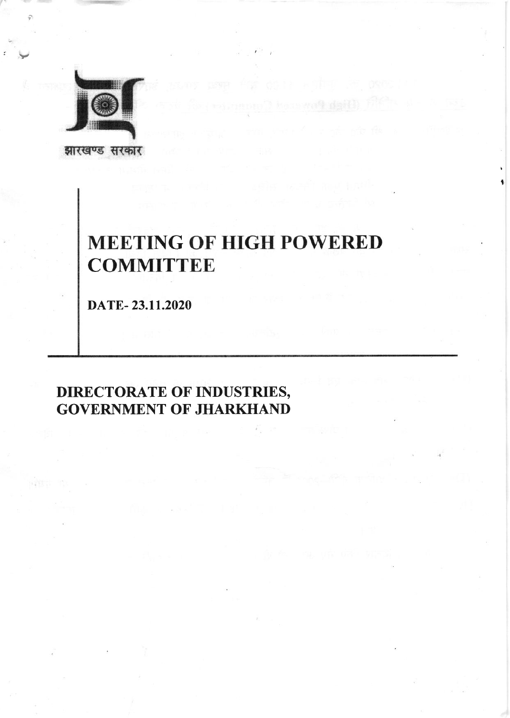

झारखण्ड सरकार

# **MEETING OF HIGH POWERED COMMITTEE**

DATE-23.11.2020

# **DIRECTORATE OF INDUSTRIES, GOVERNMENT OF JHARKHAND**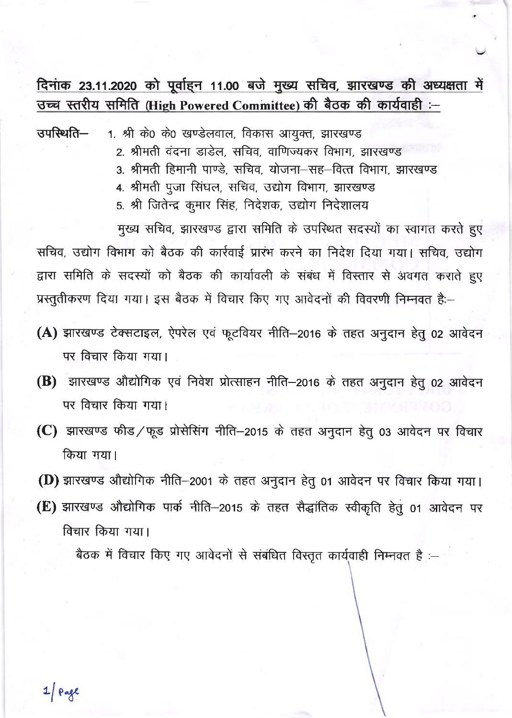# दिनांक 23.11.2020 को पूर्वाहन 11.00 बजे मुख्य सचिव, झारखण्ड की अध्यक्षता में उच्च स्तरीय समिति (High Powered Committee) की बैठक की कार्यवाही :-

उपस्थिति– 1. श्री के0 के0 खण्डेलवाल, विकास आयुक्त, झारखण्ड

- 2. श्रीमती वंदना डाडेल. सचिव. वाणिज्यकर विभाग. झारखण्ड
- 3. श्रीमती हिमानी पाण्डे. सचिव. योजना-सह-वित्त विभाग. झारखण्ड
- 4. श्रीमती पूजा सिंघल, सचिव, उद्योग विभाग, झारखण्ड
- 5. श्री जितेन्द्र कुमार सिंह, निदेशक, उद्योग निदेशालय

मुख्य सचिव, झारखण्ड द्वारा समिति के उपस्थित सदस्यों का स्वागत करते हुए सचिव, उद्योग विभाग को बैठक की कार्रवाई प्रारंभ करने का निदेश दिया गया। सचिव, उद्योग द्वारा समिति के सदस्यों को बैठक की कार्यावली के संबंध में विस्तार से अवगत कराते हुए प्रस्तुतीकरण दिया गया। इस बैठक में विचार किए गए आवेदनों की विवरणी निम्नवत है:-

- (A) झारखण्ड टेक्सटाइल, ऐपरेल एवं फूटवियर नीति-2016 के तहत अनुदान हेतु 02 आवेदन पर विचार किया गया।
- (B) झारखण्ड औद्योगिक एवं निवेश प्रोत्साहन नीति-2016 के तहत अनुदान हेतु 02 आवेदन पर विचार किया गया।
- (C) झारखण्ड फीड/फूड प्रोसेसिंग नीति-2015 के तहत अनुदान हेतु 03 आवेदन पर विचार किया गया।
- (D) झारखण्ड औद्योगिक नीति-2001 के तहत अनुदान हेतु 01 आवेदन पर विचार किया गया।
- (E) झारखण्ड औद्योगिक पार्क नीति-2015 के तहत सैद्धांतिक स्वीकृति हेतु 01 आवेदन पर विचार किया गया।

बैठक में विचार किए गए आवेदनों से संबंधित विस्तृत कार्यवाही निम्नवत है :-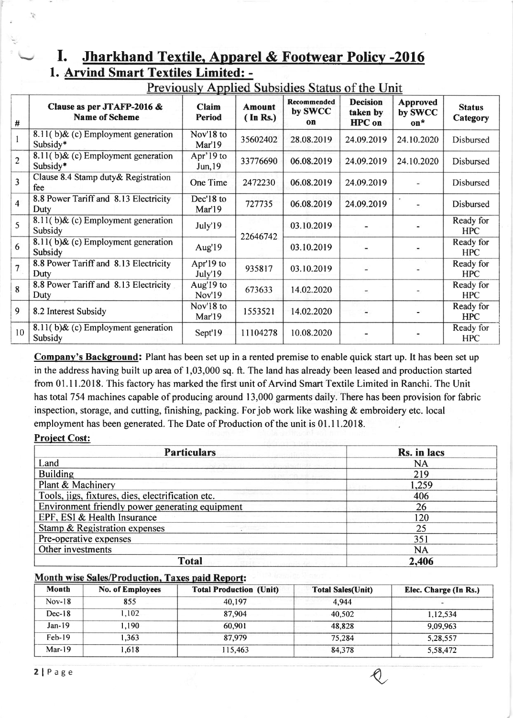### I. Jharkhand Textile. Apparel & Footwear Policv -2016 1. Arvind Smart Textiles Limited: -

|                         |                                                     |                        |                                 | Previously Applied Subsidies Status of the Unit |                                              |                                     |                           |
|-------------------------|-----------------------------------------------------|------------------------|---------------------------------|-------------------------------------------------|----------------------------------------------|-------------------------------------|---------------------------|
| #                       | Clause as per JTAFP-2016 &<br><b>Name of Scheme</b> | Claim<br><b>Period</b> | <b>Amount</b><br>$($ In Rs. $)$ | Recommended<br>by SWCC<br>$\mathbf{on}$         | <b>Decision</b><br>taken by<br><b>HPC</b> on | <b>Approved</b><br>by SWCC<br>$on*$ | <b>Status</b><br>Category |
| $\mathbf{1}$            | 8.11(b) $\&$ (c) Employment generation<br>Subsidy*  | Nov'18 to<br>Mar'19    | 35602402                        | 28.08.2019                                      | 24.09.2019                                   | 24.10.2020                          | Disbursed                 |
| $\overline{2}$          | 8.11(b) & (c) Employment generation<br>Subsidy*     | Apr'19 to<br>Jun, 19   | 33776690                        | 06.08.2019                                      | 24.09.2019                                   | 24.10.2020                          | Disbursed                 |
| $\overline{\mathbf{3}}$ | Clause 8.4 Stamp duty & Registration<br>fee         | One Time               | 2472230                         | 06.08.2019                                      | 24.09.2019                                   |                                     | Disbursed                 |
| $\overline{4}$          | 8.8 Power Tariff and 8.13 Electricity<br>Duty       | Dec'18 to<br>Mar'19    | 727735                          | 06.08.2019                                      | 24.09.2019                                   |                                     | Disbursed                 |
| 5                       | 8.11(b) $\&$ (c) Employment generation<br>Subsidy   | July'19                | 22646742                        | 03.10.2019                                      |                                              |                                     | Ready for<br><b>HPC</b>   |
| 6                       | 8.11(b) & (c) Employment generation<br>Subsidy      | Aug'19                 |                                 | 03.10.2019                                      |                                              |                                     | Ready for<br><b>HPC</b>   |
| $\overline{7}$          | 8.8 Power Tariff and 8.13 Electricity<br>Duty       | Apr'19 to<br>July'19   | 935817                          | 03.10.2019                                      |                                              |                                     | Ready for<br><b>HPC</b>   |
| 8                       | 8.8 Power Tariff and 8.13 Electricity<br>Duty       | Aug'19 to<br>Nov'19    | 673633                          | 14.02.2020                                      |                                              |                                     | Ready for<br><b>HPC</b>   |
| 9                       | 8.2 Interest Subsidy                                | Nov'l8 to<br>Mar'19    | 1553521                         | 14.02.2020                                      |                                              |                                     | Ready for<br><b>HPC</b>   |
| 10 <sup>°</sup>         | 8.11(b) $\&$ (c) Employment generation<br>Subsidy   | Sept'19                | 11104278                        | 10.08.2020                                      |                                              |                                     | Ready for<br><b>HPC</b>   |

Companv's Background: Plant has been set up in a rented premise to enable quick start up. It has been set up in the address having built up area of 1,03,000 sq. ft. The land has already been leased and production started from 0l.l1.2018. This factory has marked the first unit of Arvind Smart Textile Limited in Ranchi. The Unit has total 754 machines capable of producing around 13,000 garments daily. There has been provision for fabric inspection, storage, and cutting, finishing, packing. For job work like washing & embroidery etc. local employment has been generated. The Date of Production of the unit is 01.11.2018

#### Project Cost:

N.

| <b>Particulars</b>                                | Rs. in lacs |
|---------------------------------------------------|-------------|
| Land                                              | <b>NA</b>   |
| <b>Building</b>                                   | 219         |
| Plant & Machinery                                 | 1,259       |
| Tools, jigs, fixtures, dies, electrification etc. | 406         |
| Environment friendly power generating equipment   | 26          |
| EPF, ESI & Health Insurance                       | 120         |
| Stamp & Registration expenses                     | 25          |
| Pre-operative expenses                            | 351         |
| Other investments                                 | <b>NA</b>   |
| <b>Total</b>                                      | 2,406       |

#### Month wise Sales/Production, Taxes paid Report:

| Month    | No. of Employees | <b>Total Production (Unit)</b> | <b>Total Sales(Unit)</b> | Elec. Charge (In Rs.) |
|----------|------------------|--------------------------------|--------------------------|-----------------------|
| $Nov-18$ | 855              | 40.197                         | 4.944                    |                       |
| $Dec-18$ | 102 <sub>1</sub> | 87,904                         | 40,502                   | 1,12,534              |
| $Jan-19$ | .190             | 60.901                         | 48,828                   | 9,09,963              |
| $Feb-19$ | 1.363            | 87,979                         | 75.284                   | 5,28,557              |
| $Mar-19$ | .618             | 115,463                        | 84,378                   | 5,58,472              |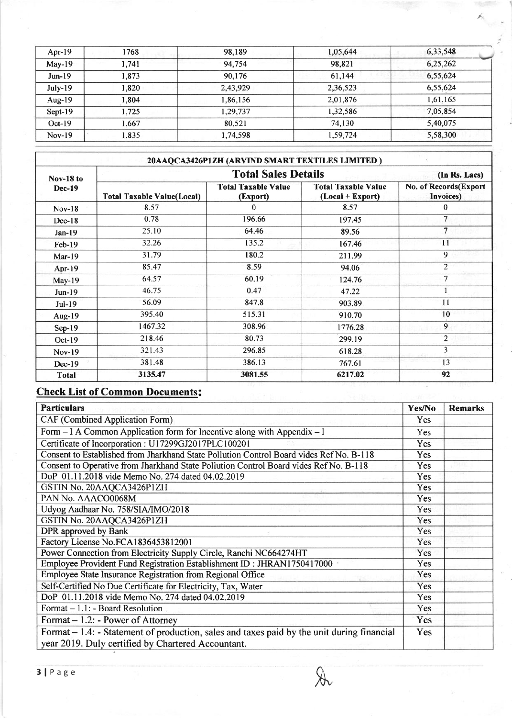| Apr- $19$ | 1768  | 98,189   | 1,05,644 | 6,33,548 |
|-----------|-------|----------|----------|----------|
| $May-19$  | 1,741 | 94.754   | 98.821   | 6,25,262 |
| $Jun-19$  | 1,873 | 90.176   | 61,144   | 6,55,624 |
| $July-19$ | 1.820 | 2,43,929 | 2,36,523 | 6,55,624 |
| Aug- $19$ | 1,804 | 1,86,156 | 2,01,876 | 1,61,165 |
| $Sept-19$ | .725  | 1,29,737 | 1,32,586 | 7,05,854 |
| $Oct-19$  | ,667  | 80,521   | 74,130   | 5,40,075 |
| $Nov-19$  | .835  | 1,74,598 | 1,59,724 | 5,58,300 |

|                                                                                                                                                                                 |                                   | 20AAQCA3426P1ZH (ARVIND SMART TEXTILES LIMITED) |                                                  |                                            |
|---------------------------------------------------------------------------------------------------------------------------------------------------------------------------------|-----------------------------------|-------------------------------------------------|--------------------------------------------------|--------------------------------------------|
| <b>Nov-18 to</b><br><b>Dec-19</b><br>$Nov-18$<br>$Dec-18$<br>$Jan-19$<br>$Feb-19$<br>$Mar-19$<br>$Apr-19$<br>$May-19$<br>$Jun-19$<br>$Jul-19$<br>Aug-19<br>$Sep-19$<br>$Oct-19$ |                                   | (In Rs. Lacs)                                   |                                                  |                                            |
|                                                                                                                                                                                 | <b>Total Taxable Value(Local)</b> | <b>Total Taxable Value</b><br>(Export)          | <b>Total Taxable Value</b><br>$(Local + Expert)$ | No. of Records(Export<br><b>Invoices</b> ) |
|                                                                                                                                                                                 | 8.57                              | 0                                               | 8.57                                             | $\Omega$                                   |
|                                                                                                                                                                                 | 0.78                              | 196.66                                          | 197.45                                           | $\overline{7}$                             |
|                                                                                                                                                                                 | 25.10                             | 64.46                                           | 89.56                                            | $\overline{7}$                             |
|                                                                                                                                                                                 | 32.26                             | 135.2                                           | 167.46                                           | 11                                         |
|                                                                                                                                                                                 | 31.79                             | 180.2                                           | 211.99                                           | 9                                          |
|                                                                                                                                                                                 | 85.47                             | 8.59                                            | 94.06                                            | $\overline{2}$                             |
|                                                                                                                                                                                 | 64.57                             | 60.19                                           | 124.76                                           | 7                                          |
|                                                                                                                                                                                 | 46.75                             | 0.47                                            | 47.22                                            |                                            |
|                                                                                                                                                                                 | 56.09                             | 847.8                                           | 903.89                                           | 11                                         |
|                                                                                                                                                                                 | 395.40                            | 515.31                                          | 910.70                                           | 10 <sup>°</sup>                            |
|                                                                                                                                                                                 | 1467.32                           | 308.96                                          | 1776.28                                          | 9                                          |
|                                                                                                                                                                                 | 218.46                            | 80.73                                           | 299.19                                           | $\overline{2}$                             |
| $Nov-19$                                                                                                                                                                        | 321.43                            | 296.85                                          | 618.28                                           | $\overline{3}$                             |
| $Dec-19$                                                                                                                                                                        | 381.48                            | 386.13                                          | 767.61                                           | 13                                         |
| <b>Total</b>                                                                                                                                                                    | 3135.47                           | 3081.55                                         | 6217.02                                          | 92                                         |

## **Check List of Common Documents:**

| <b>Particulars</b>                                                                                                                                 | Yes/No     | <b>Remarks</b> |
|----------------------------------------------------------------------------------------------------------------------------------------------------|------------|----------------|
| CAF (Combined Application Form)                                                                                                                    | <b>Yes</b> |                |
| Form $-I$ A Common Application form for Incentive along with Appendix $-I$                                                                         | Yes        |                |
| Certificate of Incorporation : U17299GJ2017PLC100201                                                                                               | Yes        |                |
| Consent to Established from Jharkhand State Pollution Control Board vides Ref No. B-118                                                            | Yes        |                |
| Consent to Operative from Jharkhand State Pollution Control Board vides Ref No. B-118                                                              | Yes        |                |
| DoP 01.11.2018 vide Memo No. 274 dated 04.02.2019                                                                                                  | Yes        |                |
| GSTIN No. 20AAQCA3426P1ZH                                                                                                                          | Yes        |                |
| PAN No. AAACO0068M                                                                                                                                 | Yes        |                |
| Udyog Aadhaar No. 758/SIA/IMO/2018                                                                                                                 | Yes        |                |
| GSTIN No. 20AAQCA3426P1ZH                                                                                                                          | Yes        |                |
| DPR approved by Bank                                                                                                                               | Yes        |                |
| Factory License No.FCA1836453812001                                                                                                                | Yes        |                |
| Power Connection from Electricity Supply Circle, Ranchi NC664274HT                                                                                 | Yes        |                |
| Employee Provident Fund Registration Establishment ID: JHRAN1750417000                                                                             | <b>Yes</b> |                |
| Employee State Insurance Registration from Regional Office                                                                                         | Yes        |                |
| Self-Certified No Due Certificate for Electricity, Tax, Water                                                                                      | Yes        |                |
| DoP 01.11.2018 vide Memo No. 274 dated 04.02.2019                                                                                                  | Yes        |                |
| Format $-1.1$ : - Board Resolution                                                                                                                 | Yes        |                |
| Format $-1.2$ : - Power of Attorney                                                                                                                | Yes        |                |
| Format $-1.4$ : - Statement of production, sales and taxes paid by the unit during financial<br>year 2019. Duly certified by Chartered Accountant. | Yes        |                |

 $\partial\! \! \! \! \lambda$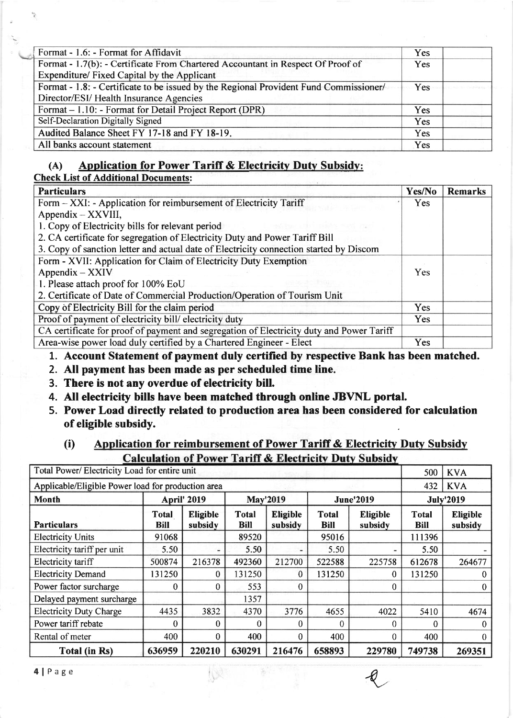| Format - 1.6: - Format for Affidavit                                                  | Yes |  |
|---------------------------------------------------------------------------------------|-----|--|
| Format - 1.7(b): - Certificate From Chartered Accountant in Respect Of Proof of       | Yes |  |
| Expenditure/ Fixed Capital by the Applicant                                           |     |  |
| Format - 1.8: - Certificate to be issued by the Regional Provident Fund Commissioner/ | Yes |  |
| Director/ESI/ Health Insurance Agencies                                               |     |  |
| Format – 1.10: - Format for Detail Project Report (DPR)                               | Yes |  |
| Self-Declaration Digitally Signed                                                     | Yes |  |
| Audited Balance Sheet FY 17-18 and FY 18-19.                                          | Yes |  |
| All banks account statement                                                           | Yes |  |

### (A) Application for Power Tariff & Electricity Duty Subsidy:

#### Check List of Additional Documents:

| <b>Particulars</b>                                                                       | Yes/No     | <b>Remarks</b> |
|------------------------------------------------------------------------------------------|------------|----------------|
| Form - XXI: - Application for reimbursement of Electricity Tariff                        | Yes        |                |
| $Appendix - XXVIII,$                                                                     |            |                |
| 1. Copy of Electricity bills for relevant period                                         |            |                |
| 2. CA certificate for segregation of Electricity Duty and Power Tariff Bill              |            |                |
| 3. Copy of sanction letter and actual date of Electricity connection started by Discom   |            |                |
| Form - XVII: Application for Claim of Electricity Duty Exemption                         |            |                |
| $Appendix - XXIV$                                                                        | <b>Yes</b> |                |
| 1. Please attach proof for 100% EoU                                                      |            |                |
| 2. Certificate of Date of Commercial Production/Operation of Tourism Unit                |            |                |
| Copy of Electricity Bill for the claim period                                            | <b>Yes</b> |                |
| Proof of payment of electricity bill/electricity duty                                    | Yes        |                |
| CA certificate for proof of payment and segregation of Electricity duty and Power Tariff |            |                |
| Area-wise power load duly certified by a Chartered Engineer - Elect                      | Yes        |                |

- 1. Account Statement of payment duly certified by respective Bank has been matched.
- 2. All payment has been made as per scheduled time line
- 3. There is not any overdue of electricity bill.
- 4. All electricity bills have been matched through online JBVNL portal.
- 5. Power Load directly related to production area has been considered for calculation of eligible subsidy.

### (i) Application for reimbursement of Power Tariff  $\&$  Electricity Duty Subsidy **Calculation of Power Tariff & Electricity Duty Subsidy**

| Total Power/ Electricity Load for entire unit      |                      |                            |                             |                            |                             |                            | 500                  | <b>KVA</b>                 |
|----------------------------------------------------|----------------------|----------------------------|-----------------------------|----------------------------|-----------------------------|----------------------------|----------------------|----------------------------|
| Applicable/Eligible Power load for production area |                      |                            |                             |                            |                             |                            | 432                  | <b>KVA</b>                 |
| Month                                              |                      | <b>April' 2019</b>         |                             | <b>May'2019</b>            |                             | <b>June'2019</b>           |                      | <b>July'2019</b>           |
| <b>Particulars</b>                                 | <b>Total</b><br>Bill | <b>Eligible</b><br>subsidy | <b>Total</b><br><b>Bill</b> | <b>Eligible</b><br>subsidy | <b>Total</b><br><b>Bill</b> | <b>Eligible</b><br>subsidy | <b>Total</b><br>Bill | <b>Eligible</b><br>subsidy |
| <b>Electricity Units</b>                           | 91068                |                            | 89520                       |                            | 95016                       |                            | 111396               |                            |
| Electricity tariff per unit                        | 5.50                 |                            | 5.50                        |                            | 5.50                        |                            | 5.50                 |                            |
| Electricity tariff                                 | 500874               | 216378                     | 492360                      | 212700                     | 522588                      | 225758                     | 612678               | 264677                     |
| <b>Electricity Demand</b>                          | 131250               | $\bf{0}$                   | 131250                      | $\theta$                   | 131250                      | 0                          | 131250               | $\theta$                   |
| Power factor surcharge                             | $\Omega$             | $\theta$                   | 553                         | $\theta$                   |                             | 0                          |                      | $\bf{0}$                   |
| Delayed payment surcharge                          |                      |                            | 1357                        |                            |                             |                            |                      |                            |
| <b>Electricity Duty Charge</b>                     | 4435                 | 3832                       | 4370                        | 3776                       | 4655                        | 4022                       | 5410                 | 4674                       |
| Power tariff rebate                                | 0                    | $\Omega$                   | 0                           | $\theta$                   | $\Omega$                    | 0                          | $\Omega$             | $\theta$                   |
| Rental of meter                                    | 400                  | $\theta$                   | 400                         | $\Omega$                   | 400                         | 0                          | 400                  | $\theta$                   |
| Total (in Rs)                                      | 636959               | 220210                     | 630291                      | 216476                     | 658893                      | 229780                     | 749738               | 269351                     |
| $4   P \text{age}$                                 |                      |                            |                             |                            |                             |                            |                      |                            |